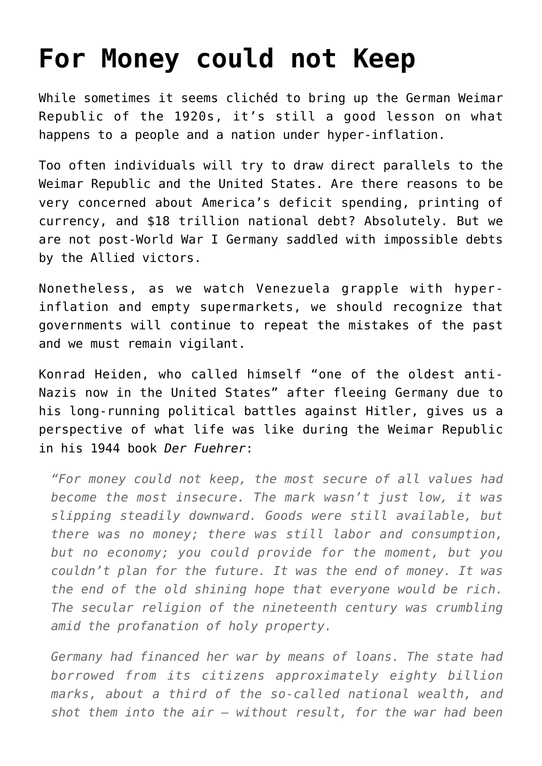## **[For Money could not Keep](https://intellectualtakeout.org/2015/08/for-money-could-not-keep/)**

While sometimes it seems clichéd to bring up the German Weimar Republic of the 1920s, it's still a good lesson on what happens to a people and a nation under hyper-inflation.

Too often individuals will try to draw direct parallels to the Weimar Republic and the United States. Are there reasons to be very concerned about America's deficit spending, printing of currency, and \$18 trillion national debt? Absolutely. But we are not post-World War I Germany saddled with impossible debts by the Allied victors.

Nonetheless, as we watch Venezuela grapple with hyperinflation and empty supermarkets, we should recognize that governments will continue to repeat the mistakes of the past and we must remain vigilant.

Konrad Heiden, who called himself "one of the oldest anti-Nazis now in the United States" after fleeing Germany due to his long-running political battles against Hitler, gives us a perspective of what life was like during the Weimar Republic in his 1944 book *Der Fuehrer*:

*"For money could not keep, the most secure of all values had become the most insecure. The mark wasn't just low, it was slipping steadily downward. Goods were still available, but there was no money; there was still labor and consumption, but no economy; you could provide for the moment, but you couldn't plan for the future. It was the end of money. It was the end of the old shining hope that everyone would be rich. The secular religion of the nineteenth century was crumbling amid the profanation of holy property.*

*Germany had financed her war by means of loans. The state had borrowed from its citizens approximately eighty billion marks, about a third of the so-called national wealth, and shot them into the air – without result, for the war had been*